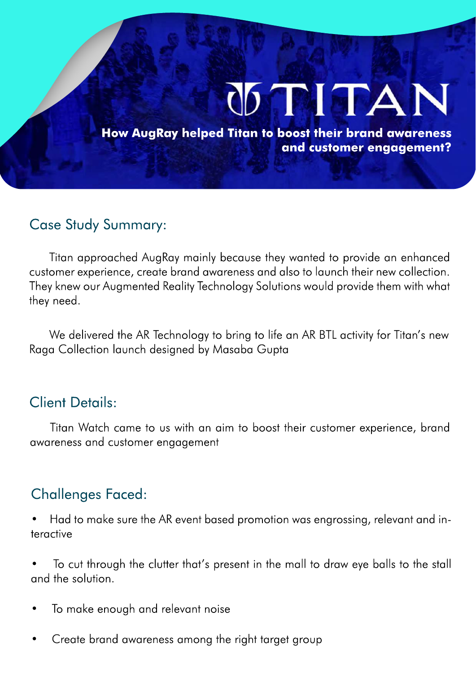# **STITAN**

**How AugRay helped Titan to boost their brand awareness and customer engagement?**

### Case Study Summary:

Titan approached AugRay mainly because they wanted to provide an enhanced customer experience, create brand awareness and also to launch their new collection. They knew our Augmented Reality Technology Solutions would provide them with what they need.

We delivered the AR Technology to bring to life an AR BTL activity for Titan's new Raga Collection launch designed by Masaba Gupta

### Client Details:

Titan Watch came to us with an aim to boost their customer experience, brand awareness and customer engagement

## Challenges Faced:

- Had to make sure the AR event based promotion was engrossing, relevant and interactive
- To cut through the clutter that's present in the mall to draw eye balls to the stall and the solution.
- To make enough and relevant noise
- Create brand awareness among the right target group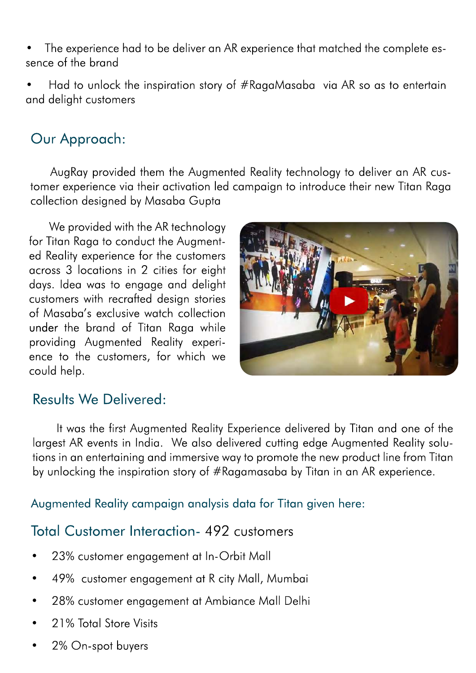• The experience had to be deliver an AR experience that matched the complete essence of the brand

• Had to unlock the inspiration story of #RagaMasaba via AR so as to entertain and delight customers

# Our Approach:

AugRay provided them the Augmented Reality technology to deliver an AR customer experience via their activation led campaign to introduce their new Titan Raga collection designed by Masaba Gupta

We provided with the AR technology for Titan Raga to conduct the Augmented Reality experience for the customers across 3 locations in 2 cities for eight days. Idea was to engage and delight customers with recrafted design stories of Masaba's exclusive watch collection under the brand of Titan Raga while providing Augmented Reality experience to the customers, for which we could help.



### Results We Delivered:

 It was the first Augmented Reality Experience delivered by Titan and one of the largest AR events in India. We also delivered cutting edge Augmented Reality solutions in an entertaining and immersive way to promote the new product line from Titan by unlocking the inspiration story of #Ragamasaba by Titan in an AR experience.

Augmented Reality campaign analysis data for Titan given here:

## Total Customer Interaction- 492 customers

- 23% customer engagement at In-Orbit Mall
- 49% customer engagement at R city Mall, Mumbai
- 28% customer engagement at Ambiance Mall Delhi
- 21% Total Store Visits
- 2% On-spot buyers